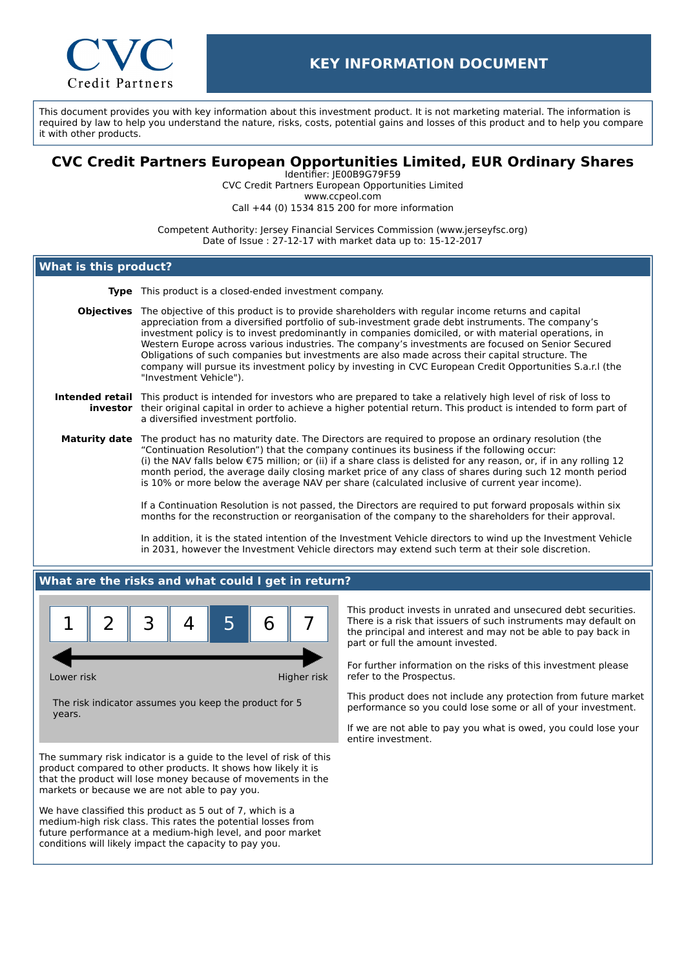

This document provides you with key information about this investment product. It is not marketing material. The information is required by law to help you understand the nature, risks, costs, potential gains and losses of this product and to help you compare it with other products.

# **CVC Credit Partners European Opportunities Limited, EUR Ordinary Shares**

Identifier: JE00B9G79F59 CVC Credit Partners European Opportunities Limited www.ccpeol.com Call +44 (0) 1534 815 200 for more information

Competent Authority: Jersey Financial Services Commission (www.jerseyfsc.org) Date of Issue : 27-12-17 with market data up to: 15-12-2017

### **What is this product?**

**Type** This product is a closed-ended investment company.

**Objectives** The objective of this product is to provide shareholders with regular income returns and capital appreciation from a diversified portfolio of sub-investment grade debt instruments. The company's investment policy is to invest predominantly in companies domiciled, or with material operations, in Western Europe across various industries. The company's investments are focused on Senior Secured Obligations of such companies but investments are also made across their capital structure. The company will pursue its investment policy by investing in CVC European Credit Opportunities S.a.r.l (the "Investment Vehicle").

#### **Intended retail** This product is intended for investors who are prepared to take a relatively high level of risk of loss to **investor** their original capital in order to achieve a higher potential return. This product is intended to form part of a diversified investment portfolio.

**Maturity date** The product has no maturity date. The Directors are required to propose an ordinary resolution (the "Continuation Resolution") that the company continues its business if the following occur: (i) the NAV falls below €75 million; or (ii) if a share class is delisted for any reason, or, if in any rolling 12 month period, the average daily closing market price of any class of shares during such 12 month period is 10% or more below the average NAV per share (calculated inclusive of current year income).

> If a Continuation Resolution is not passed, the Directors are required to put forward proposals within six months for the reconstruction or reorganisation of the company to the shareholders for their approval.

In addition, it is the stated intention of the Investment Vehicle directors to wind up the Investment Vehicle in 2031, however the Investment Vehicle directors may extend such term at their sole discretion.

### **What are the risks and what could I get in return?**



Lower risk **Higher risk** Higher risk

The risk indicator assumes you keep the product for 5 years.

The summary risk indicator is a guide to the level of risk of this product compared to other products. It shows how likely it is that the product will lose money because of movements in the markets or because we are not able to pay you.

We have classified this product as 5 out of 7, which is a medium-high risk class. This rates the potential losses from future performance at a medium-high level, and poor market conditions will likely impact the capacity to pay you.

This product invests in unrated and unsecured debt securities. There is a risk that issuers of such instruments may default on the principal and interest and may not be able to pay back in part or full the amount invested.

For further information on the risks of this investment please refer to the Prospectus.

This product does not include any protection from future market performance so you could lose some or all of your investment.

If we are not able to pay you what is owed, you could lose your entire investment.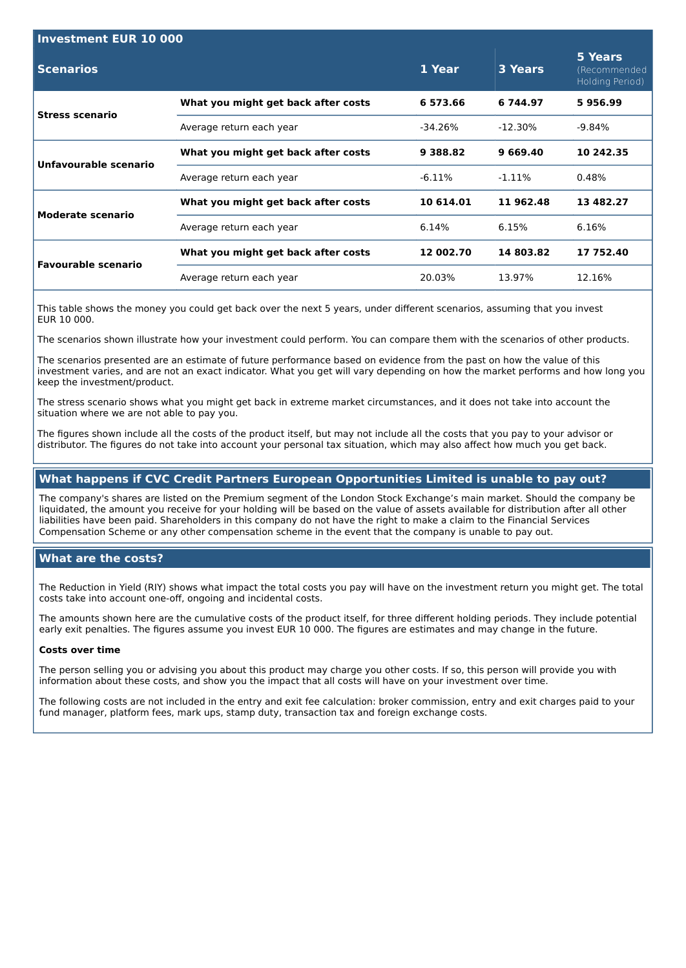| <b>Investment EUR 10 000</b> |                                     |           |            |                                            |  |  |
|------------------------------|-------------------------------------|-----------|------------|--------------------------------------------|--|--|
| <b>Scenarios</b>             |                                     | 1 Year    | 3 Years    | 5 Years<br>(Recommended<br>Holding Period) |  |  |
| <b>Stress scenario</b>       | What you might get back after costs | 6 573.66  | 6 744.97   | 5956.99                                    |  |  |
|                              | Average return each year            | -34.26%   | $-12.30\%$ | $-9.84\%$                                  |  |  |
| Unfavourable scenario        | What you might get back after costs | 9 388.82  | 9 669 40   | 10 242.35                                  |  |  |
|                              | Average return each year            | $-6.11\%$ | $-1.11\%$  | 0.48%                                      |  |  |
| <b>Moderate scenario</b>     | What you might get back after costs | 10 614.01 | 11 962.48  | 13 482.27                                  |  |  |
|                              | Average return each year            | 6.14%     | 6.15%      | 6.16%                                      |  |  |
| <b>Favourable scenario</b>   | What you might get back after costs | 12 002.70 | 14 803.82  | 17 752.40                                  |  |  |
|                              | Average return each year            | 20.03%    | 13.97%     | 12.16%                                     |  |  |

This table shows the money you could get back over the next 5 years, under different scenarios, assuming that you invest EUR 10 000.

The scenarios shown illustrate how your investment could perform. You can compare them with the scenarios of other products.

The scenarios presented are an estimate of future performance based on evidence from the past on how the value of this investment varies, and are not an exact indicator. What you get will vary depending on how the market performs and how long you keep the investment/product.

The stress scenario shows what you might get back in extreme market circumstances, and it does not take into account the situation where we are not able to pay you.

The figures shown include all the costs of the product itself, but may not include all the costs that you pay to your advisor or distributor. The figures do not take into account your personal tax situation, which may also affect how much you get back.

## **What happens if CVC Credit Partners European Opportunities Limited is unable to pay out?**

The company's shares are listed on the Premium segment of the London Stock Exchange's main market. Should the company be liquidated, the amount you receive for your holding will be based on the value of assets available for distribution after all other liabilities have been paid. Shareholders in this company do not have the right to make a claim to the Financial Services Compensation Scheme or any other compensation scheme in the event that the company is unable to pay out.

### **What are the costs?**

The Reduction in Yield (RIY) shows what impact the total costs you pay will have on the investment return you might get. The total costs take into account one-off, ongoing and incidental costs.

The amounts shown here are the cumulative costs of the product itself, for three different holding periods. They include potential early exit penalties. The figures assume you invest EUR 10 000. The figures are estimates and may change in the future.

#### **Costs over time**

The person selling you or advising you about this product may charge you other costs. If so, this person will provide you with information about these costs, and show you the impact that all costs will have on your investment over time.

The following costs are not included in the entry and exit fee calculation: broker commission, entry and exit charges paid to your fund manager, platform fees, mark ups, stamp duty, transaction tax and foreign exchange costs.